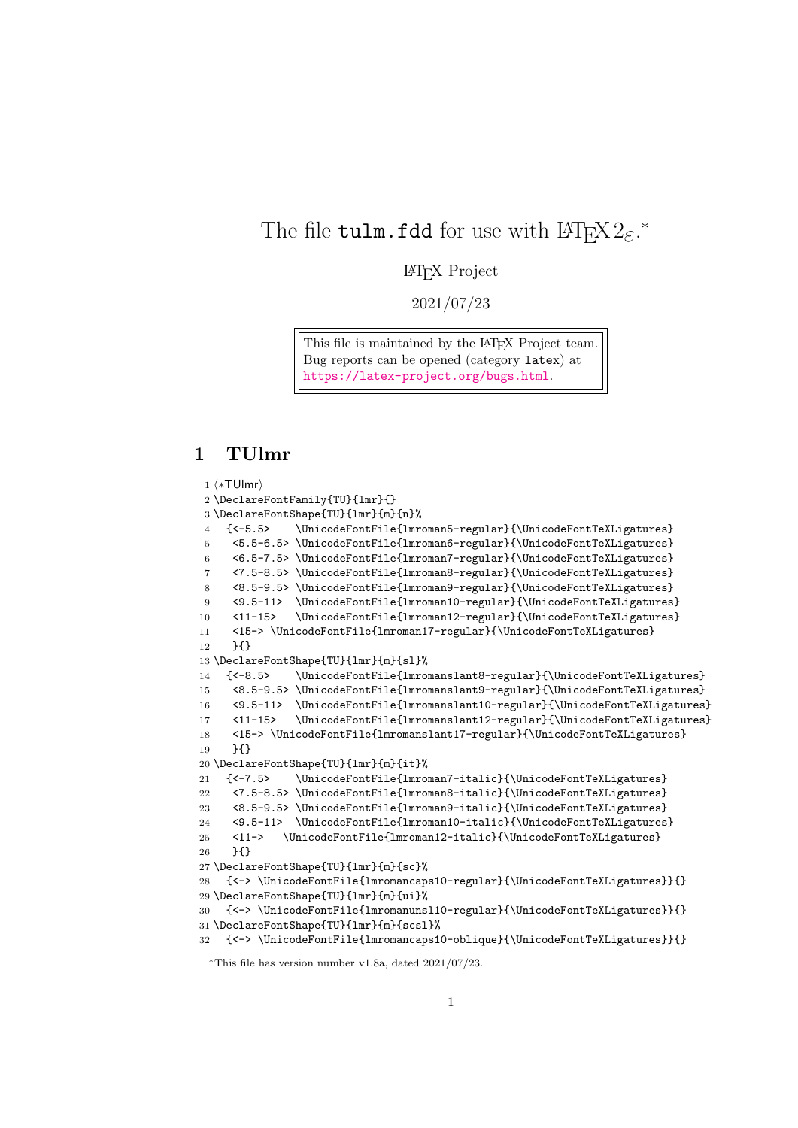# The file  $\texttt{tulm.fdd}$  for use with  $\texttt{LATEX2}_{\varepsilon}.^*$

#### LATEX Project

2021/07/23

This file is maintained by the L<sup>AT</sup>EX Project team. Bug reports can be opened (category latex) at <https://latex-project.org/bugs.html>.

## 1 TUlmr

```
1 ⟨∗TUlmr⟩
2 \DeclareFontFamily{TU}{lmr}{}
3 \DeclareFontShape{TU}{lmr}{m}{n}%
4 {<-5.5> \UnicodeFontFile{lmroman5-regular}{\UnicodeFontTeXLigatures}
5 <5.5-6.5> \UnicodeFontFile{lmroman6-regular}{\UnicodeFontTeXLigatures}
6 <6.5-7.5> \UnicodeFontFile{lmroman7-regular}{\UnicodeFontTeXLigatures}
7 <7.5-8.5> \UnicodeFontFile{lmroman8-regular}{\UnicodeFontTeXLigatures}
8 <8.5-9.5> \UnicodeFontFile{lmroman9-regular}{\UnicodeFontTeXLigatures}
9 <9.5-11> \UnicodeFontFile{lmroman10-regular}{\UnicodeFontTeXLigatures}
10 <11-15> \UnicodeFontFile{lmroman12-regular}{\UnicodeFontTeXLigatures}
11 <15-> \UnicodeFontFile{lmroman17-regular}{\UnicodeFontTeXLigatures}
12 }{}
13 \DeclareFontShape{TU}{lmr}{m}{sl}%
14 {<-8.5> \UnicodeFontFile{lmromanslant8-regular}{\UnicodeFontTeXLigatures}
15 <8.5-9.5> \UnicodeFontFile{lmromanslant9-regular}{\UnicodeFontTeXLigatures}
16 <9.5-11> \UnicodeFontFile{lmromanslant10-regular}{\UnicodeFontTeXLigatures}
17 <11-15> \UnicodeFontFile{lmromanslant12-regular}{\UnicodeFontTeXLigatures}
18 <15-> \UnicodeFontFile{lmromanslant17-regular}{\UnicodeFontTeXLigatures}
19 }{}
20 \DeclareFontShape{TU}{lmr}{m}{it}%
21 {<-7.5> \UnicodeFontFile{lmroman7-italic}{\UnicodeFontTeXLigatures}
22 <7.5-8.5> \UnicodeFontFile{lmroman8-italic}{\UnicodeFontTeXLigatures}
23 <8.5-9.5> \UnicodeFontFile{lmroman9-italic}{\UnicodeFontTeXLigatures}
24 <9.5-11> \UnicodeFontFile{lmroman10-italic}{\UnicodeFontTeXLigatures}
25 <11-> \UnicodeFontFile{lmroman12-italic}{\UnicodeFontTeXLigatures}
26 }{}
27 \DeclareFontShape{TU}{lmr}{m}{sc}%
28 {<-> \UnicodeFontFile{lmromancaps10-regular}{\UnicodeFontTeXLigatures}}{}
29 \DeclareFontShape{TU}{lmr}{m}{ui}%
30 {<-> \UnicodeFontFile{lmromanunsl10-regular}{\UnicodeFontTeXLigatures}}{}
31 \DeclareFontShape{TU}{lmr}{m}{scsl}%
32 {<-> \UnicodeFontFile{lmromancaps10-oblique}{\UnicodeFontTeXLigatures}}{}
```
<sup>∗</sup>This file has version number v1.8a, dated 2021/07/23.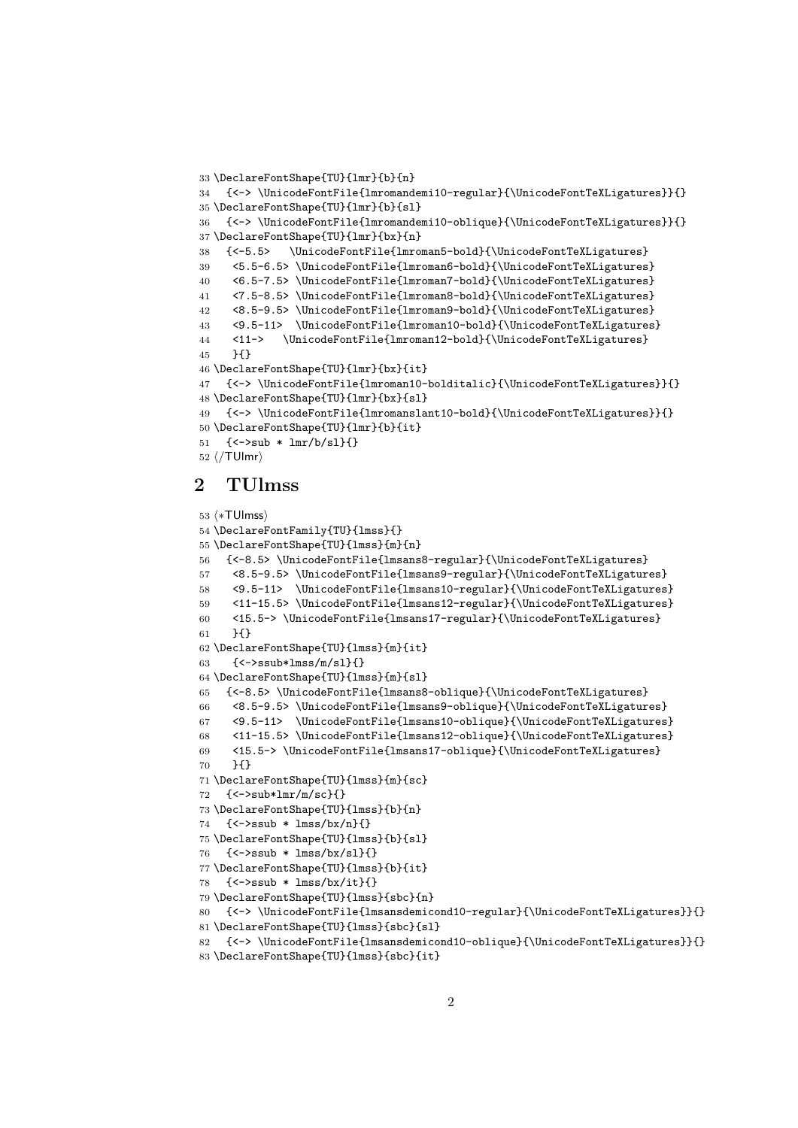```
33 \DeclareFontShape{TU}{lmr}{b}{n}
34 {<-> \UnicodeFontFile{lmromandemi10-regular}{\UnicodeFontTeXLigatures}}{}
35 \DeclareFontShape{TU}{lmr}{b}{sl}
36 {<-> \UnicodeFontFile{lmromandemi10-oblique}{\UnicodeFontTeXLigatures}}{}
37 \DeclareFontShape{TU}{lmr}{bx}{n}
38 {<-5.5> \UnicodeFontFile{lmroman5-bold}{\UnicodeFontTeXLigatures}
39 <5.5-6.5> \UnicodeFontFile{lmroman6-bold}{\UnicodeFontTeXLigatures}
40 <6.5-7.5> \UnicodeFontFile{lmroman7-bold}{\UnicodeFontTeXLigatures}
41 <7.5-8.5> \UnicodeFontFile{lmroman8-bold}{\UnicodeFontTeXLigatures}
42 <8.5-9.5> \UnicodeFontFile{lmroman9-bold}{\UnicodeFontTeXLigatures}
43 <9.5-11> \UnicodeFontFile{lmroman10-bold}{\UnicodeFontTeXLigatures}
44 <11-> \UnicodeFontFile{lmroman12-bold}{\UnicodeFontTeXLigatures}
45 }{}
46 \DeclareFontShape{TU}{lmr}{bx}{it}
47 {<-> \UnicodeFontFile{lmroman10-bolditalic}{\UnicodeFontTeXLigatures}}{}
48 \DeclareFontShape{TU}{lmr}{bx}{sl}
49 {<-> \UnicodeFontFile{lmromanslant10-bold}{\UnicodeFontTeXLigatures}}{}
50 \DeclareFontShape{TU}{lmr}{b}{it}
51 {<->sub * lmr/b/sl}{}
52 ⟨/TUlmr⟩
```
### 2 TUlmss

```
53 ⟨∗TUlmss⟩
54 \DeclareFontFamily{TU}{lmss}{}
55 \DeclareFontShape{TU}{lmss}{m}{n}
56 {<-8.5> \UnicodeFontFile{lmsans8-regular}{\UnicodeFontTeXLigatures}
57 <8.5-9.5> \UnicodeFontFile{lmsans9-regular}{\UnicodeFontTeXLigatures}
58 <9.5-11> \UnicodeFontFile{lmsans10-regular}{\UnicodeFontTeXLigatures}
59 <11-15.5> \UnicodeFontFile{lmsans12-regular}{\UnicodeFontTeXLigatures}
60 <15.5-> \UnicodeFontFile{lmsans17-regular}{\UnicodeFontTeXLigatures}
61 }{}
62 \DeclareFontShape{TU}{lmss}{m}{it}
63 \quad {\text{\textless}} \left\{\textless}\right\} \left\{\textless}\right\}64 \DeclareFontShape{TU}{lmss}{m}{sl}
65 {<-8.5> \UnicodeFontFile{lmsans8-oblique}{\UnicodeFontTeXLigatures}
66 <8.5-9.5> \UnicodeFontFile{lmsans9-oblique}{\UnicodeFontTeXLigatures}
67 <9.5-11> \UnicodeFontFile{lmsans10-oblique}{\UnicodeFontTeXLigatures}
68 <11-15.5> \UnicodeFontFile{lmsans12-oblique}{\UnicodeFontTeXLigatures}
69 <15.5-> \UnicodeFontFile{lmsans17-oblique}{\UnicodeFontTeXLigatures}
70 }{}
71 \DeclareFontShape{TU}{lmss}{m}{sc}
72 {<->sub*lmr/m/sc}{}
73 \DeclareFontShape{TU}{lmss}{b}{n}
74 \quad {\{\texttt{&}\texttt{--}}\texttt{ssub} * \texttt{lmss/bx/n}{\}}75 \DeclareFontShape{TU}{lmss}{b}{sl}
76 {<->ssub * lmss/bx/sl}{}
77 \DeclareFontShape{TU}{lmss}{b}{it}
78 {<->ssub * lmss/bx/it}{}
79 \DeclareFontShape{TU}{lmss}{sbc}{n}
80 {<-> \UnicodeFontFile{lmsansdemicond10-regular}{\UnicodeFontTeXLigatures}}{}
81 \DeclareFontShape{TU}{lmss}{sbc}{sl}
82 {<-> \UnicodeFontFile{lmsansdemicond10-oblique}{\UnicodeFontTeXLigatures}}{}
83 \DeclareFontShape{TU}{lmss}{sbc}{it}
```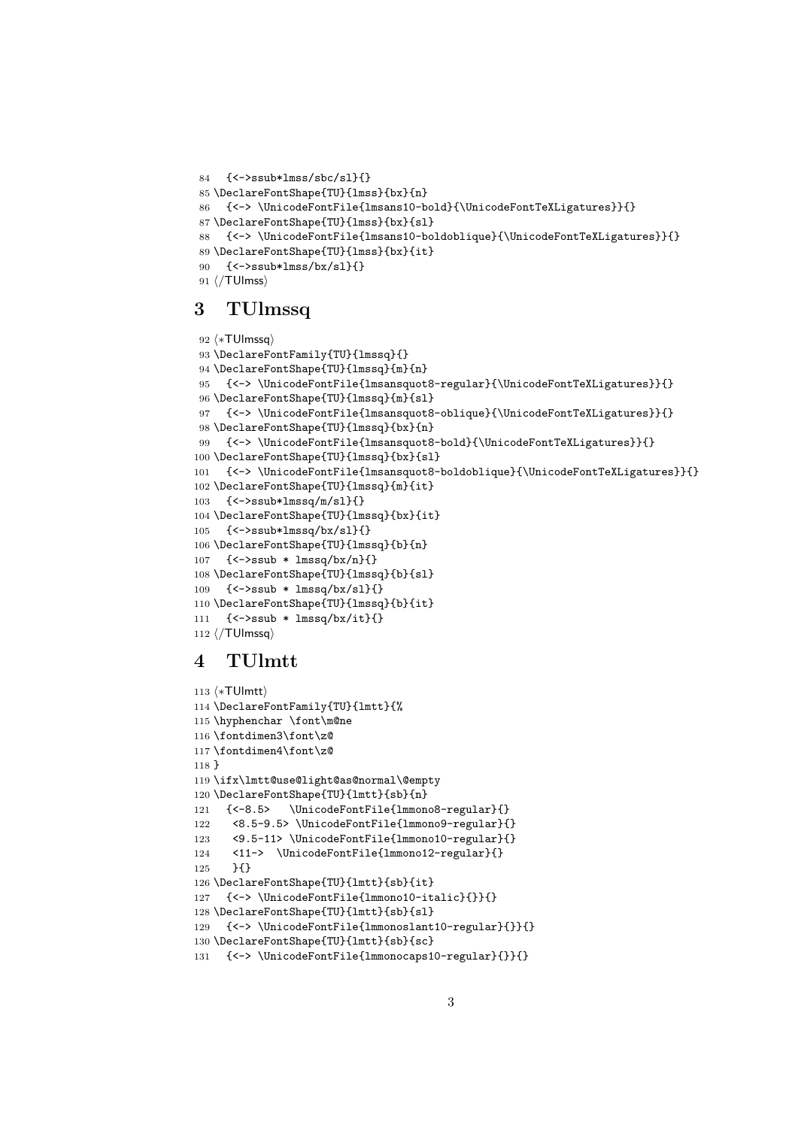```
84 {<->ssub*lmss/sbc/sl}{}
85 \DeclareFontShape{TU}{lmss}{bx}{n}
86 {<-> \UnicodeFontFile{lmsans10-bold}{\UnicodeFontTeXLigatures}}{}
87 \DeclareFontShape{TU}{lmss}{bx}{sl}
88 {<-> \UnicodeFontFile{lmsans10-boldoblique}{\UnicodeFontTeXLigatures}}{}
89 \DeclareFontShape{TU}{lmss}{bx}{it}
90 {<->ssub*lmss/bx/sl}{}
91 ⟨/TUlmss⟩
```
#### 3 TUlmssq

```
92 ⟨∗TUlmssq⟩
93 \DeclareFontFamily{TU}{lmssq}{}
94 \DeclareFontShape{TU}{lmssq}{m}{n}
95 {<-> \UnicodeFontFile{lmsansquot8-regular}{\UnicodeFontTeXLigatures}}{}
96 \DeclareFontShape{TU}{lmssq}{m}{sl}
97 {<-> \UnicodeFontFile{lmsansquot8-oblique}{\UnicodeFontTeXLigatures}}{}
98 \DeclareFontShape{TU}{lmssq}{bx}{n}
99 {<-> \UnicodeFontFile{lmsansquot8-bold}{\UnicodeFontTeXLigatures}}{}
100 \DeclareFontShape{TU}{lmssq}{bx}{sl}
101 {<-> \UnicodeFontFile{lmsansquot8-boldoblique}{\UnicodeFontTeXLigatures}}{}
102 \DeclareFontShape{TU}{lmssq}{m}{it}
103 {<->ssub*lmssq/m/sl}{}
104 \DeclareFontShape{TU}{lmssq}{bx}{it}
105 {<->ssub*lmssq/bx/sl}{}
106 \DeclareFontShape{TU}{lmssq}{b}{n}
107 {<->ssub * lmssq/bx/n}{}
108 \DeclareFontShape{TU}{lmssq}{b}{sl}
109 {<->ssub * lmssq/bx/sl}{}
110 \DeclareFontShape{TU}{lmssq}{b}{it}
111 {<->ssub * lmssq/bx/it}{}
112 ⟨/TUlmssq⟩
```
## 4 TUlmtt

```
113 ⟨∗TUlmtt⟩
114 \DeclareFontFamily{TU}{lmtt}{%
115 \hyphenchar \font\m@ne
116 \fontdimen3\font\z@
117 \fontdimen4\font\z@
118 }
119 \ifx\lmtt@use@light@as@normal\@empty
120 \DeclareFontShape{TU}{lmtt}{sb}{n}
121 {<-8.5> \UnicodeFontFile{lmmono8-regular}{}
122 <8.5-9.5> \UnicodeFontFile{lmmono9-regular}{}
123 <9.5-11> \UnicodeFontFile{lmmono10-regular}{}
124 <11-> \UnicodeFontFile{lmmono12-regular}{}
125 }{}
126 \DeclareFontShape{TU}{lmtt}{sb}{it}
127 {<-> \UnicodeFontFile{lmmono10-italic}{}}{}
128 \DeclareFontShape{TU}{lmtt}{sb}{sl}
129 {<-> \UnicodeFontFile{lmmonoslant10-regular}{}}{}
130 \DeclareFontShape{TU}{lmtt}{sb}{sc}
131 {<-> \UnicodeFontFile{lmmonocaps10-regular}{}}{}
```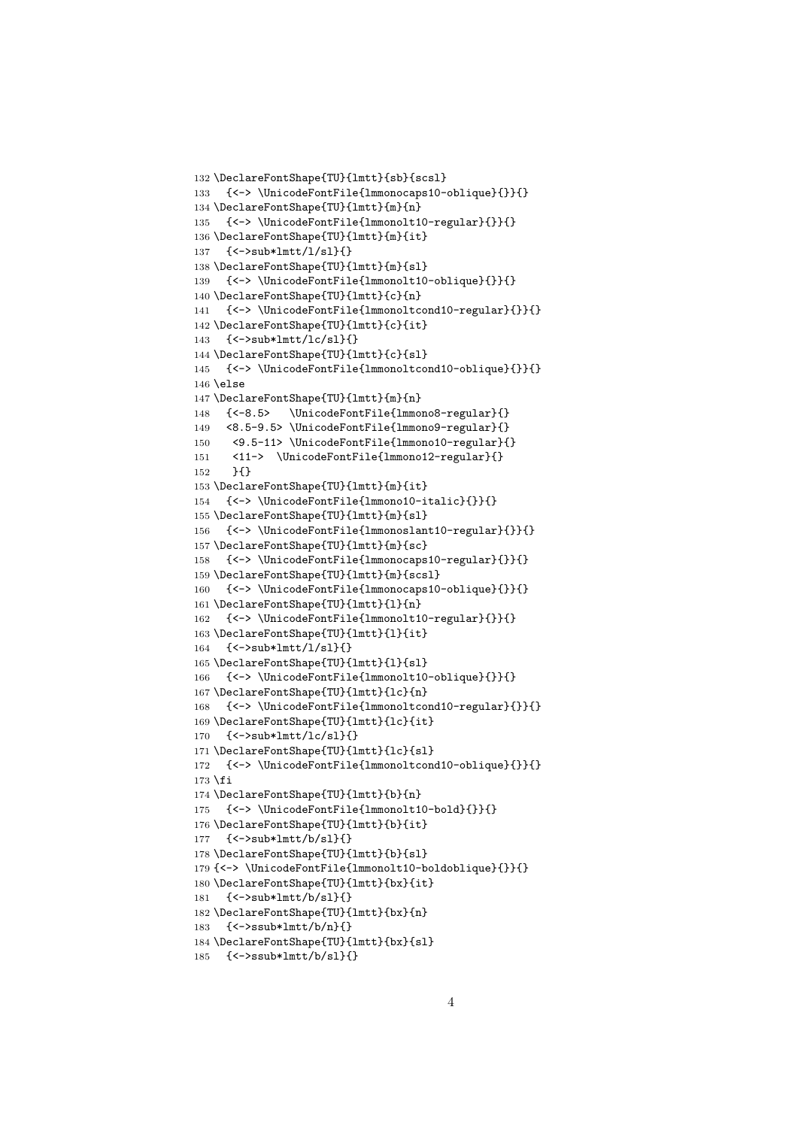```
132 \DeclareFontShape{TU}{lmtt}{sb}{scsl}
133 {<-> \UnicodeFontFile{lmmonocaps10-oblique}{}}{}
134 \DeclareFontShape{TU}{lmtt}{m}{n}
135 {<-> \UnicodeFontFile{lmmonolt10-regular}{}}{}
136 \DeclareFontShape{TU}{lmtt}{m}{it}
137 {<->sub*lmtt/l/sl}{}
138 \DeclareFontShape{TU}{lmtt}{m}{sl}
139 {<-> \UnicodeFontFile{lmmonolt10-oblique}{}}{}
140 \DeclareFontShape{TU}{lmtt}{c}{n}
141 {<-> \UnicodeFontFile{lmmonoltcond10-regular}{}}{}
142 \DeclareFontShape{TU}{lmtt}{c}{it}
143 {<->sub*lmtt/lc/sl}{}
144 \DeclareFontShape{TU}{lmtt}{c}{sl}
145 {<-> \UnicodeFontFile{lmmonoltcond10-oblique}{}}{}
146 \else
147 \DeclareFontShape{TU}{lmtt}{m}{n}
148 {<-8.5> \UnicodeFontFile{lmmono8-regular}{}
149 <8.5-9.5> \UnicodeFontFile{lmmono9-regular}{}
150 <9.5-11> \UnicodeFontFile{lmmono10-regular}{}
151 <11-> \UnicodeFontFile{lmmono12-regular}{}
152 H153 \DeclareFontShape{TU}{lmtt}{m}{it}
154 {<-> \UnicodeFontFile{lmmono10-italic}{}}{}
155 \DeclareFontShape{TU}{lmtt}{m}{sl}
156 {<-> \UnicodeFontFile{lmmonoslant10-regular}{}}{}
157 \DeclareFontShape{TU}{lmtt}{m}{sc}
158 {<-> \UnicodeFontFile{lmmonocaps10-regular}{}}{}
159 \DeclareFontShape{TU}{lmtt}{m}{scsl}
160 {<-> \UnicodeFontFile{lmmonocaps10-oblique}{}}{}
161 \DeclareFontShape{TU}{lmtt}{l}{n}
162 {<-> \UnicodeFontFile{lmmonolt10-regular}{}}{}
163 \DeclareFontShape{TU}{lmtt}{l}{it}
164 {<->sub*lmtt/l/sl}{}
165 \DeclareFontShape{TU}{lmtt}{l}{sl}
166 {<-> \UnicodeFontFile{lmmonolt10-oblique}{}}{}
167 \DeclareFontShape{TU}{lmtt}{lc}{n}
168 {<-> \UnicodeFontFile{lmmonoltcond10-regular}{}}{}
169 \DeclareFontShape{TU}{lmtt}{lc}{it}
170 {<->sub*lmtt/lc/sl}{}
171 \DeclareFontShape{TU}{lmtt}{lc}{sl}
172 {<-> \UnicodeFontFile{lmmonoltcond10-oblique}{}}{}
173 \fi
174 \DeclareFontShape{TU}{lmtt}{b}{n}
175 {<-> \UnicodeFontFile{lmmonolt10-bold}{}}{}
176 \DeclareFontShape{TU}{lmtt}{b}{it}
177 {<->sub*lmtt/b/sl}{}
178 \DeclareFontShape{TU}{lmtt}{b}{sl}
179 {<-> \UnicodeFontFile{lmmonolt10-boldoblique}{}}{}
180 \DeclareFontShape{TU}{lmtt}{bx}{it}
181 {<->sub*lmtt/b/sl}{}
182 \DeclareFontShape{TU}{lmtt}{bx}{n}
183 {<->ssub*lmtt/b/n}{}
184 \DeclareFontShape{TU}{lmtt}{bx}{sl}
185 {<->ssub*lmtt/b/sl}{}
```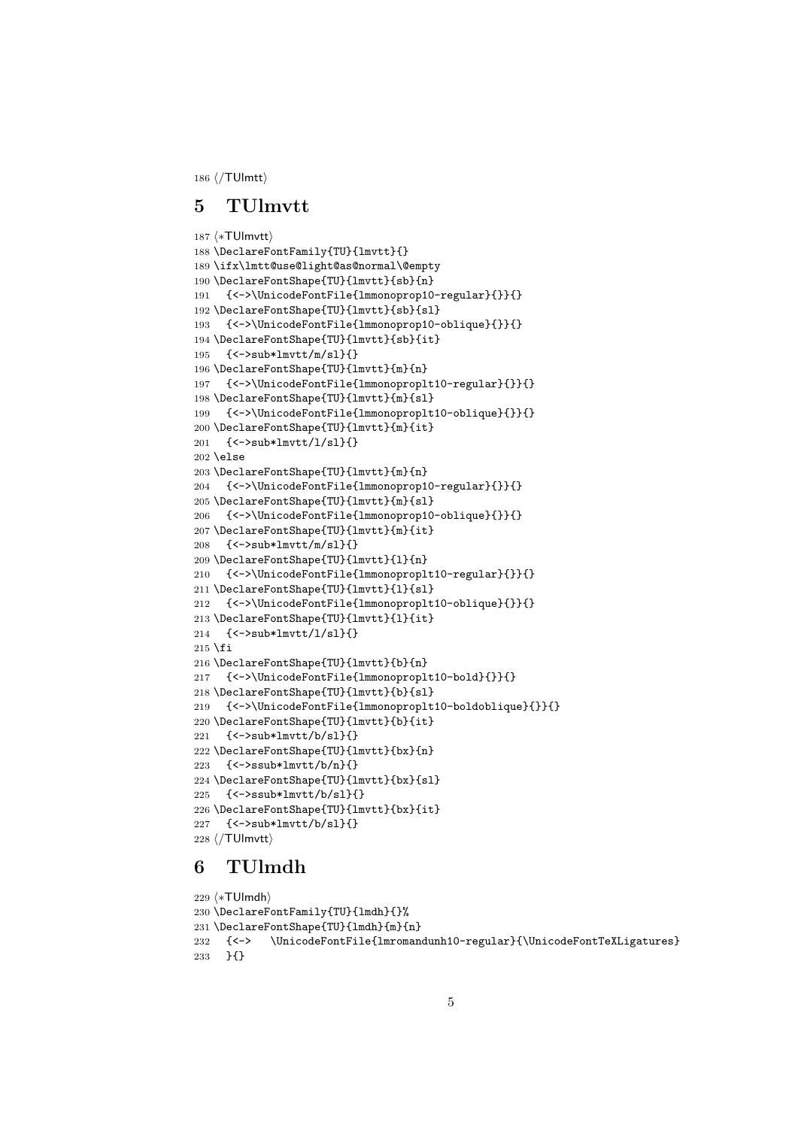⟨/TUlmtt⟩

#### 5 TUlmvtt

```
187 ⟨∗TUlmvtt⟩
188 \DeclareFontFamily{TU}{lmvtt}{}
189 \ifx\lmtt@use@light@as@normal\@empty
190 \DeclareFontShape{TU}{lmvtt}{sb}{n}
191 {<->\UnicodeFontFile{lmmonoprop10-regular}{}}{}
192 \DeclareFontShape{TU}{lmvtt}{sb}{sl}
193 {<->\UnicodeFontFile{lmmonoprop10-oblique}{}}{}
194 \DeclareFontShape{TU}{lmvtt}{sb}{it}
195 {<->sub*lmvtt/m/sl}{}
196 \DeclareFontShape{TU}{lmvtt}{m}{n}
197 {<->\UnicodeFontFile{lmmonoproplt10-regular}{}}{}
198 \DeclareFontShape{TU}{lmvtt}{m}{sl}
199 {<->\UnicodeFontFile{lmmonoproplt10-oblique}{}}{}
200 \DeclareFontShape{TU}{lmvtt}{m}{it}
201 {<->sub*lmvtt/l/sl}{}
202 \else
203 \DeclareFontShape{TU}{lmvtt}{m}{n}
204 {<->\UnicodeFontFile{lmmonoprop10-regular}{}}{}
205 \DeclareFontShape{TU}{lmvtt}{m}{sl}
206 {<->\UnicodeFontFile{lmmonoprop10-oblique}{}}{}
207 \DeclareFontShape{TU}{lmvtt}{m}{it}
208 {<->sub*lmvtt/m/sl}{}
209 \DeclareFontShape{TU}{lmvtt}{l}{n}
210 {<->\UnicodeFontFile{lmmonoproplt10-regular}{}}{}
211 \DeclareFontShape{TU}{lmvtt}{l}{sl}
212 {<->\UnicodeFontFile{lmmonoproplt10-oblique}{}}{}
213 \DeclareFontShape{TU}{lmvtt}{l}{it}
214 {<->sub*lmvtt/l/sl}{}
215 \fi
216 \DeclareFontShape{TU}{lmvtt}{b}{n}
217 {<->\UnicodeFontFile{lmmonoproplt10-bold}{}}{}
218 \DeclareFontShape{TU}{lmvtt}{b}{sl}
219 {<->\UnicodeFontFile{lmmonoproplt10-boldoblique}{}}{}
220 \DeclareFontShape{TU}{lmvtt}{b}{it}
221 {<->sub*lmvtt/b/sl}{}
222 \DeclareFontShape{TU}{lmvtt}{bx}{n}
223 {<->ssub*lmvtt/b/n}{}
224 \DeclareFontShape{TU}{lmvtt}{bx}{sl}
225 {<->ssub*lmvtt/b/sl}{}
226 \DeclareFontShape{TU}{lmvtt}{bx}{it}
227 {<->sub*lmvtt/b/sl}{}
228 ⟨/TUlmvtt⟩
```
## 6 TUlmdh

```
229 ⟨∗TUlmdh⟩
230 \DeclareFontFamily{TU}{lmdh}{}%
231 \DeclareFontShape{TU}{lmdh}{m}{n}
232 {<-> \UnicodeFontFile{lmromandunh10-regular}{\UnicodeFontTeXLigatures}
233 }{}
```